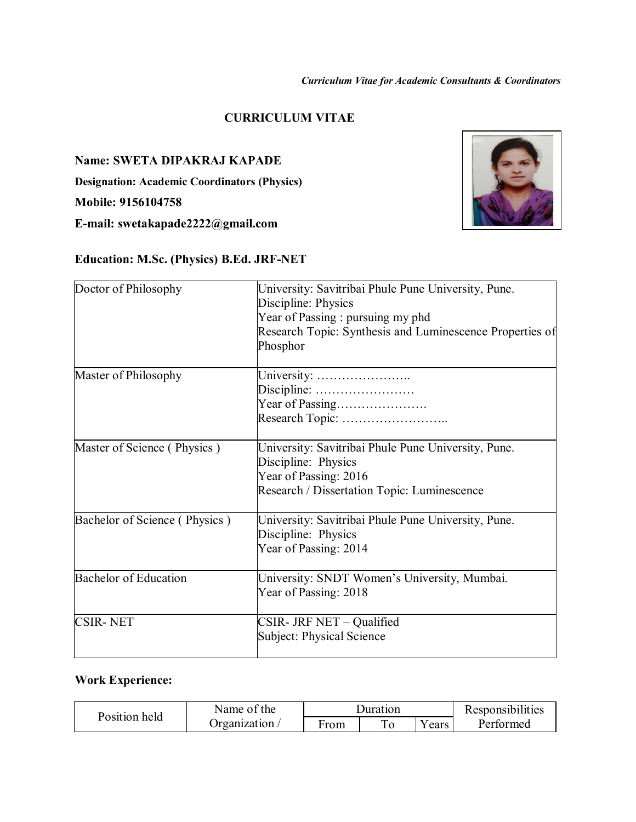## **CURRICULUM VITAE**

**Name: SWETA DIPAKRAJ KAPADE**

**Designation: Academic Coordinators (Physics)**

**Mobile: 9156104758**

**E-mail: swetakapade2222@gmail.com**

# **Education: M.Sc. (Physics) B.Ed. JRF-NET**



#### **Work Experience:**

| Position held | Name of the  | Duration |  |        | Responsibilities |
|---------------|--------------|----------|--|--------|------------------|
|               | Organization | From     |  | Y ears | Performed        |